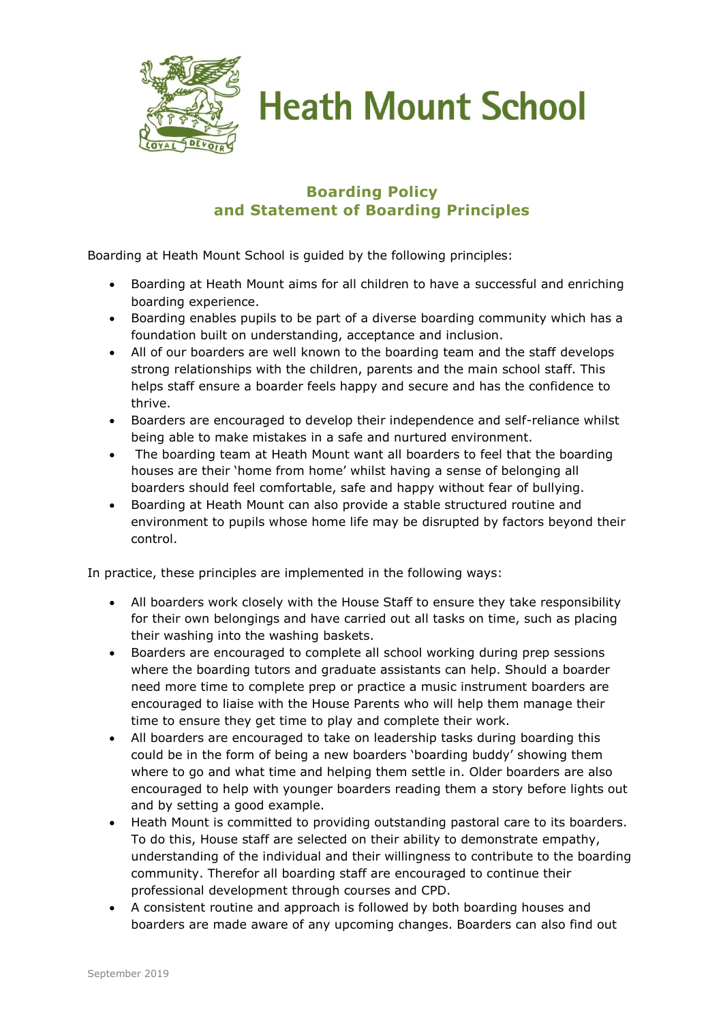

**Heath Mount School** 

## **Boarding Policy and Statement of Boarding Principles**

Boarding at Heath Mount School is guided by the following principles:

- Boarding at Heath Mount aims for all children to have a successful and enriching boarding experience.
- Boarding enables pupils to be part of a diverse boarding community which has a foundation built on understanding, acceptance and inclusion.
- All of our boarders are well known to the boarding team and the staff develops strong relationships with the children, parents and the main school staff. This helps staff ensure a boarder feels happy and secure and has the confidence to thrive.
- Boarders are encouraged to develop their independence and self-reliance whilst being able to make mistakes in a safe and nurtured environment.
- The boarding team at Heath Mount want all boarders to feel that the boarding houses are their 'home from home' whilst having a sense of belonging all boarders should feel comfortable, safe and happy without fear of bullying.
- Boarding at Heath Mount can also provide a stable structured routine and environment to pupils whose home life may be disrupted by factors beyond their control.

In practice, these principles are implemented in the following ways:

- All boarders work closely with the House Staff to ensure they take responsibility for their own belongings and have carried out all tasks on time, such as placing their washing into the washing baskets.
- Boarders are encouraged to complete all school working during prep sessions where the boarding tutors and graduate assistants can help. Should a boarder need more time to complete prep or practice a music instrument boarders are encouraged to liaise with the House Parents who will help them manage their time to ensure they get time to play and complete their work.
- All boarders are encouraged to take on leadership tasks during boarding this could be in the form of being a new boarders 'boarding buddy' showing them where to go and what time and helping them settle in. Older boarders are also encouraged to help with younger boarders reading them a story before lights out and by setting a good example.
- Heath Mount is committed to providing outstanding pastoral care to its boarders. To do this, House staff are selected on their ability to demonstrate empathy, understanding of the individual and their willingness to contribute to the boarding community. Therefor all boarding staff are encouraged to continue their professional development through courses and CPD.
- A consistent routine and approach is followed by both boarding houses and boarders are made aware of any upcoming changes. Boarders can also find out